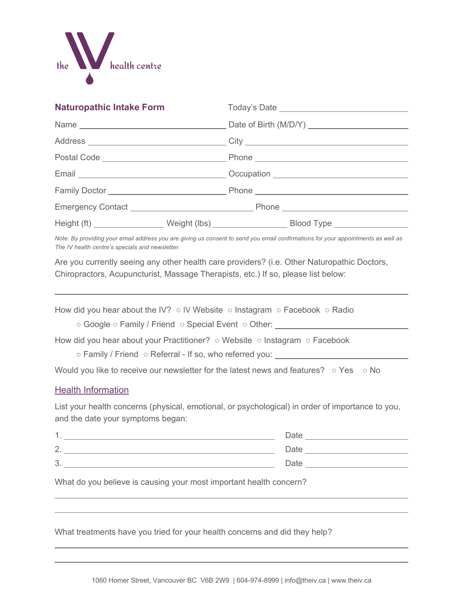

| <b>Naturopathic Intake Form</b> |                                                                                                                                                                                                                                          |  |
|---------------------------------|------------------------------------------------------------------------------------------------------------------------------------------------------------------------------------------------------------------------------------------|--|
|                                 |                                                                                                                                                                                                                                          |  |
|                                 |                                                                                                                                                                                                                                          |  |
|                                 |                                                                                                                                                                                                                                          |  |
|                                 | Email <u>Email</u> Occupation <b>CONSUMERS</b> CONSUMING THE CONSUMING THE CONSUMING THE CONSUMING THE CONSUMING THE CONSUMING THE CONSUMING THE CONSUMING THE CONSUMING THE CONSUMING THE CONSUMING THE CONSUMING THE CONSUMING THE CON |  |
|                                 |                                                                                                                                                                                                                                          |  |
|                                 |                                                                                                                                                                                                                                          |  |
|                                 |                                                                                                                                                                                                                                          |  |

*Note: By providing your email address you are giving us consent to send you email confirmations for your appointments as well as The IV health centre's specials and newsletter.*

Are you currently seeing any other health care providers? (i.e. Other Naturopathic Doctors, Chiropractors, Acupuncturist, Massage Therapists, etc.) If so, please list below:

How did you hear about the IV? ○ IV Website ○ Instagram ○ Facebook ○ Radio

○ Google ○ Family / Friend ○ Special Event ○ Other:

How did you hear about your Practitioner? ○ Website ○ Instagram ○ Facebook

○ Family / Friend ○ Referral - If so, who referred you: \_\_\_\_\_\_\_\_\_\_\_\_\_\_\_\_\_\_\_\_\_\_\_

Would you like to receive our newsletter for the latest news and features? ○ Yes ○ No

#### Health Information

List your health concerns (physical, emotional, or psychological) in order of importance to you, and the date your symptoms began:

| и<br>. . | Date |
|----------|------|
| 2.       | Date |
| 3.       | Date |

What do you believe is causing your most important health concern?

What treatments have you tried for your health concerns and did they help?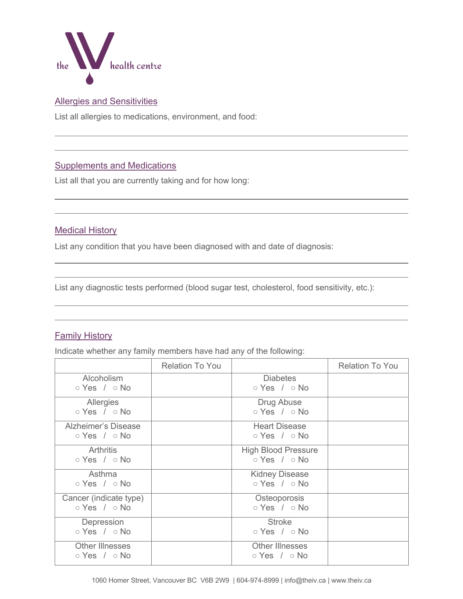

# Allergies and Sensitivities

List all allergies to medications, environment, and food:

## Supplements and Medications

List all that you are currently taking and for how long:

## Medical History

List any condition that you have been diagnosed with and date of diagnosis:

List any diagnostic tests performed (blood sugar test, cholesterol, food sensitivity, etc.):

## Family History

Indicate whether any family members have had any of the following:

|                                                    | <b>Relation To You</b> |                                                        | <b>Relation To You</b> |
|----------------------------------------------------|------------------------|--------------------------------------------------------|------------------------|
| Alcoholism<br>$\circ$ Yes / $\circ$ No             |                        | <b>Diabetes</b><br>$\circ$ Yes / $\circ$ No            |                        |
| Allergies<br>$\circ$ Yes / $\circ$ No              |                        | Drug Abuse<br>$\circ$ Yes / $\circ$ No                 |                        |
| Alzheimer's Disease<br>$\circ$ Yes / $\circ$ No    |                        | <b>Heart Disease</b><br>$\circ$ Yes / $\circ$ No       |                        |
| <b>Arthritis</b><br>$\circ$ Yes / $\circ$ No       |                        | <b>High Blood Pressure</b><br>$\circ$ Yes / $\circ$ No |                        |
| Asthma<br>$\circ$ Yes / $\circ$ No                 |                        | <b>Kidney Disease</b><br>$\circ$ Yes / $\circ$ No      |                        |
| Cancer (indicate type)<br>$\circ$ Yes / $\circ$ No |                        | Osteoporosis<br>$\circ$ Yes / $\circ$ No               |                        |
| Depression<br>$\circ$ Yes / $\circ$ No             |                        | <b>Stroke</b><br>$\circ$ Yes / $\circ$ No              |                        |
| <b>Other Illnesses</b><br>$\circ$ Yes / $\circ$ No |                        | <b>Other Illnesses</b><br>$\circ$ Yes / $\circ$ No     |                        |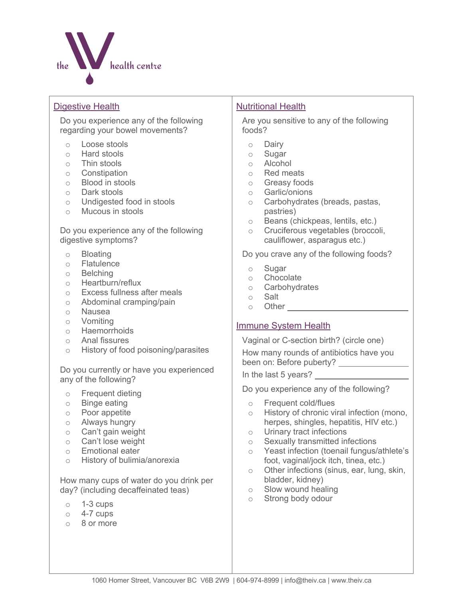

#### Digestive Health

Do you experience any of the following regarding your bowel movements?

- o Loose stools
- o Hard stools
- o Thin stools
- o Constipation
- o Blood in stools
- o Dark stools
- o Undigested food in stools
- o Mucous in stools

Do you experience any of the following digestive symptoms?

- o Bloating
- o Flatulence
- o Belching
- o Heartburn/reflux
- o Excess fullness after meals
- o Abdominal cramping/pain
- o Nausea
- o Vomiting
- o Haemorrhoids
- o Anal fissures
- o History of food poisoning/parasites

Do you currently or have you experienced any of the following?

- o Frequent dieting
- o Binge eating
- o Poor appetite
- o Always hungry
- o Can't gain weight
- o Can't lose weight
- o Emotional eater
- o History of bulimia/anorexia

How many cups of water do you drink per day? (including decaffeinated teas)

- o 1-3 cups
- $\circ$  4-7 cups
- $\circ$  8 or more

## Nutritional Health

Are you sensitive to any of the following foods?

- o Dairy
- o Sugar
- o Alcohol
- o Red meats
- o Greasy foods
- o Garlic/onions
- o Carbohydrates (breads, pastas, pastries)
- o Beans (chickpeas, lentils, etc.)
- o Cruciferous vegetables (broccoli, cauliflower, asparagus etc.)

Do you crave any of the following foods?

- o Sugar
- o Chocolate
- o Carbohydrates
- o Salt
- o Other

### Immune System Health

Vaginal or C-section birth? (circle one)

How many rounds of antibiotics have you been on: Before puberty?

In the last 5 years?

Do you experience any of the following?

- o Frequent cold/flues
- o History of chronic viral infection (mono, herpes, shingles, hepatitis, HIV etc.)
- o Urinary tract infections
- o Sexually transmitted infections
- o Yeast infection (toenail fungus/athlete's foot, vaginal/jock itch, tinea, etc.)
- o Other infections (sinus, ear, lung, skin, bladder, kidney)
- o Slow wound healing
- o Strong body odour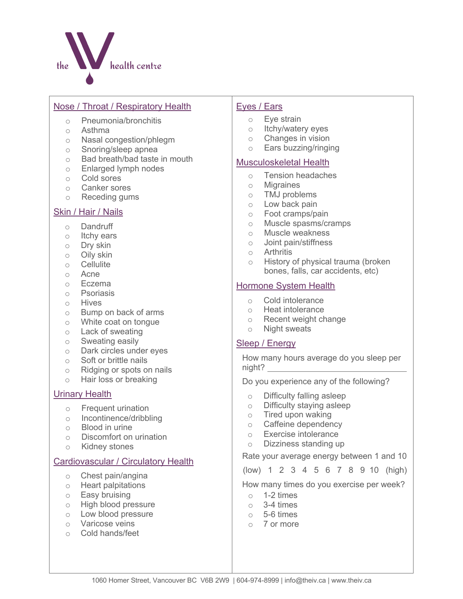

### Nose / Throat / Respiratory Health

- o Pneumonia/bronchitis
- o Asthma
- o Nasal congestion/phlegm
- o Snoring/sleep apnea
- o Bad breath/bad taste in mouth
- o Enlarged lymph nodes
- o Cold sores
- o Canker sores
- o Receding gums

### Skin / Hair / Nails

- o Dandruff
- o Itchy ears
- o Dry skin
- o Oily skin
- o Cellulite
- o Acne
- o Eczema
- o Psoriasis
- o Hives
- o Bump on back of arms
- o White coat on tongue
- o Lack of sweating
- o Sweating easily
- o Dark circles under eyes
- o Soft or brittle nails
- o Ridging or spots on nails
- o Hair loss or breaking

### Urinary Health

- o Frequent urination
- o Incontinence/dribbling
- o Blood in urine
- o Discomfort on urination
- o Kidney stones

### Cardiovascular / Circulatory Health

- o Chest pain/angina
- o Heart palpitations
- o Easy bruising
- o High blood pressure
- o Low blood pressure
- o Varicose veins
- o Cold hands/feet

#### Eyes / Ears

- o Eye strain
- o Itchy/watery eyes
- o Changes in vision
- o Ears buzzing/ringing

#### Musculoskeletal Health

- o Tension headaches
- o Migraines
- o TMJ problems
- o Low back pain
- o Foot cramps/pain
- o Muscle spasms/cramps
- o Muscle weakness
- o Joint pain/stiffness
- o Arthritis
- o History of physical trauma (broken bones, falls, car accidents, etc)

### Hormone System Health

- o Cold intolerance
- o Heat intolerance
- o Recent weight change
- o Night sweats

### Sleep / Energy

How many hours average do you sleep per night?

Do you experience any of the following?

- o Difficulty falling asleep
- o Difficulty staying asleep
- o Tired upon waking
- o Caffeine dependency
- o Exercise intolerance
- o Dizziness standing up

Rate your average energy between 1 and 10

#### (low) 1 2 3 4 5 6 7 8 9 10 (high)

How many times do you exercise per week?

- o 1-2 times
- $\circ$  3-4 times
- $\circ$  5-6 times
- o 7 or more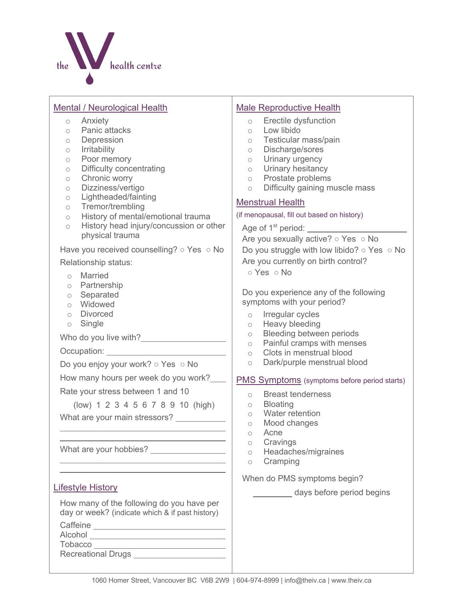

| <b>Mental / Neurological Health</b><br>Anxiety<br>$\circ$<br>Panic attacks<br>$\circ$<br>Depression<br>$\circ$<br>Irritability<br>$\circ$<br>Poor memory<br>$\circ$<br>Difficulty concentrating<br>$\bigcirc$<br>Chronic worry<br>$\bigcirc$<br>Dizziness/vertigo<br>$\bigcirc$<br>Lightheaded/fainting<br>$\bigcirc$ | <b>Male Reproductive Health</b><br>Erectile dysfunction<br>$\circ$<br>Low libido<br>$\circ$<br>Testicular mass/pain<br>$\circ$<br>Discharge/sores<br>$\circ$<br>Urinary urgency<br>$\circ$<br>Urinary hesitancy<br>$\bigcirc$<br>Prostate problems<br>$\circ$<br>Difficulty gaining muscle mass<br>$\circ$ |  |  |
|-----------------------------------------------------------------------------------------------------------------------------------------------------------------------------------------------------------------------------------------------------------------------------------------------------------------------|------------------------------------------------------------------------------------------------------------------------------------------------------------------------------------------------------------------------------------------------------------------------------------------------------------|--|--|
| Tremor/trembling<br>$\bigcirc$                                                                                                                                                                                                                                                                                        | <b>Menstrual Health</b>                                                                                                                                                                                                                                                                                    |  |  |
| History of mental/emotional trauma<br>$\circ$<br>History head injury/concussion or other<br>$\circ$                                                                                                                                                                                                                   | (if menopausal, fill out based on history)                                                                                                                                                                                                                                                                 |  |  |
| physical trauma                                                                                                                                                                                                                                                                                                       | Are you sexually active? o Yes o No                                                                                                                                                                                                                                                                        |  |  |
| Have you received counselling? $\circ$ Yes $\circ$ No                                                                                                                                                                                                                                                                 | Do you struggle with low libido? o Yes o No<br>Are you currently on birth control?<br>○ Yes ○ No<br>Do you experience any of the following<br>symptoms with your period?<br>Irregular cycles<br>$\circ$                                                                                                    |  |  |
| Relationship status:                                                                                                                                                                                                                                                                                                  |                                                                                                                                                                                                                                                                                                            |  |  |
| Married<br>$\circ$<br>Partnership<br>$\circ$<br>Separated<br>$\bigcirc$<br>Widowed<br>$\circ$<br><b>Divorced</b><br>$\circ$                                                                                                                                                                                           |                                                                                                                                                                                                                                                                                                            |  |  |
| Single<br>$\circ$                                                                                                                                                                                                                                                                                                     | Heavy bleeding<br>$\circ$<br>Bleeding between periods<br>$\circ$                                                                                                                                                                                                                                           |  |  |
|                                                                                                                                                                                                                                                                                                                       | Painful cramps with menses<br>$\circ$<br>Clots in menstrual blood                                                                                                                                                                                                                                          |  |  |
| Do you enjoy your work? o Yes o No                                                                                                                                                                                                                                                                                    | $\circ$<br>Dark/purple menstrual blood<br>$\circlearrowright$                                                                                                                                                                                                                                              |  |  |
| How many hours per week do you work?                                                                                                                                                                                                                                                                                  | <b>PMS Symptoms</b> (symptoms before period starts)                                                                                                                                                                                                                                                        |  |  |
| Rate your stress between 1 and 10<br>(low) 1 2 3 4 5 6 7 8 9 10 (high)<br>What are your main stressors? _____________                                                                                                                                                                                                 | <b>Breast tenderness</b><br>$\circ$<br><b>Bloating</b><br>$\circ$<br>Water retention<br>$\circ$<br>Mood changes<br>$\circlearrowright$<br>Acne<br>$\circ$                                                                                                                                                  |  |  |
|                                                                                                                                                                                                                                                                                                                       | Cravings<br>O<br>Headaches/migraines<br>$\circ$<br>Cramping<br>$\circ$                                                                                                                                                                                                                                     |  |  |
| the control of the control of the control of the control of the control of the control of                                                                                                                                                                                                                             | When do PMS symptoms begin?                                                                                                                                                                                                                                                                                |  |  |
| <b>Lifestyle History</b><br>How many of the following do you have per<br>day or week? (indicate which & if past history)<br>Recreational Drugs ______________________                                                                                                                                                 | days before period begins                                                                                                                                                                                                                                                                                  |  |  |

1060 Homer Street, Vancouver BC V6B 2W9 | 604-974-8999 | info@theiv.ca | www.theiv.ca